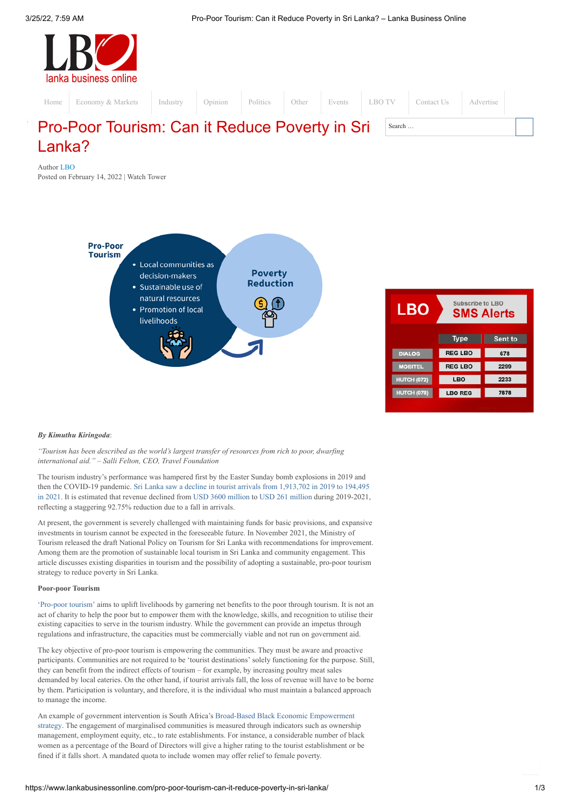

Author [LBO](https://www.lankabusinessonline.com/author/editor/)

Posted on [February](https://www.lankabusinessonline.com/pro-poor-tourism-can-it-reduce-poverty-in-sri-lanka/) 14, 2022 | [Watch](https://www.lankabusinessonline.com/category/opinion/watch-tower/) Tower



| LBO                | Subscribe to LBO<br><b>SMS Alerts</b> |         |  |
|--------------------|---------------------------------------|---------|--|
|                    | <b>Type</b>                           | Sent to |  |
| <b>DIALOG</b>      | <b>REG LBO</b>                        | 678     |  |
| <b>MOBITEL</b>     | <b>REG LBO</b>                        | 2299    |  |
| <b>HUTCH (072)</b> | LBO                                   | 2233    |  |
| <b>HUTCH (078)</b> | <b>LBO REG</b>                        | 7878    |  |
|                    |                                       |         |  |

### *By Kimuthu Kiringoda*:

*"Tourism has been described as the world's largest transfer of resources from rich to poor, dwarfing international aid." – Salli Felton, CEO, Travel Foundation*

The tourism industry's performance was hampered first by the Easter Sunday bomb explosions in 2019 and then the [COVID-19](https://sltda.gov.lk/en/monthly-tourist-arrivals-reports-2021) pandemic. Sri Lanka saw a decline in tourist arrivals from 1,913,702 in 2019 to 194,495 in 2021. It is estimated that revenue declined from USD 3600 [million](https://srilanka.travel/SLTDA_documents/ASR%202019.pdf) to USD 261 [million](https://www.cbsl.gov.lk/sites/default/files/cbslweb_documents/publications/annual_report/2020/en/9_Chapter_05.pdf) during 2019-2021, reflecting a staggering 92.75% reduction due to a fall in arrivals.

At present, the government is severely challenged with maintaining funds for basic provisions, and expansive investments in tourism cannot be expected in the foreseeable future. In November 2021, the Ministry of Tourism released the draft National Policy on Tourism for Sri Lanka with recommendations for improvement. Among them are the promotion of sustainable local tourism in Sri Lanka and community engagement. This article discusses existing disparities in tourism and the possibility of adopting a sustainable, pro-poor tourism strategy to reduce poverty in Sri Lanka.

# **Poor-poor Tourism**

['Pro-poor](https://assets.publishing.service.gov.uk/media/57a08d6eed915d3cfd001a18/R7557-ppt_report.pdf) tourism' aims to uplift livelihoods by garnering net benefits to the poor through tourism. It is not an act of charity to help the poor but to empower them with the knowledge, skills, and recognition to utilise their existing capacities to serve in the tourism industry. While the government can provide an impetus through regulations and infrastructure, the capacities must be commercially viable and not run on government aid.

The key objective of pro-poor tourism is empowering the communities. They must be aware and proactive participants. Communities are not required to be 'tourist destinations' solely functioning for the purpose. Still, they can benefit from the indirect effects of tourism – for example, by increasing poultry meat sales demanded by local eateries. On the other hand, if tourist arrivals fall, the loss of revenue will have to be borne by them. Participation is voluntary, and therefore, it is the individual who must maintain a balanced approach to manage the income.

An example of government intervention is South Africa's Broad-Based Black Economic [Empowerment](http://www.thedtic.gov.za/financial-and-non-financial-support/b-bbee/broad-based-black-economic-empowerment/) strategy. The engagement of marginalised communities is measured through indicators such as ownership management, employment equity, etc., to rate establishments. For instance, a considerable number of black women as a percentage of the Board of Directors will give a higher rating to the tourist establishment or be fined if it falls short. A mandated quota to include women may offer relief to female poverty.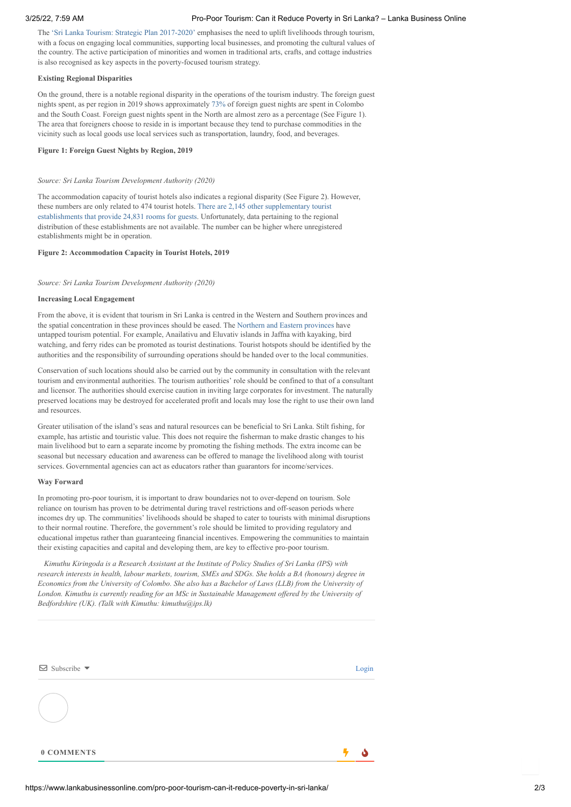The 'Sri Lanka Tourism: Strategic Plan [2017-2020'](https://www.srilankatourismalliance.com/wp-content/uploads/2020/05/TSP-2017-20-summary.pdf) emphasises the need to uplift livelihoods through tourism, with a focus on engaging local communities, supporting local businesses, and promoting the cultural values of the country. The active participation of minorities and women in traditional arts, crafts, and cottage industries is also recognised as key aspects in the poverty-focused tourism strategy.

# **Existing Regional Disparities**

On the ground, there is a notable regional disparity in the operations of the tourism industry. The foreign guest nights spent, as per region in 2019 shows approximately [73%](https://srilanka.travel/SLTDA_documents/ASR%202019.pdf) of foreign guest nights are spent in Colombo and the South Coast. Foreign guest nights spent in the North are almost zero as a percentage (See Figure 1). The area that foreigners choose to reside in is important because they tend to purchase commodities in the vicinity such as local goods use local services such as transportation, laundry, food, and beverages.

# **Figure 1: Foreign Guest Nights by Region, 2019**

### *Source: Sri Lanka Tourism Development Authority (2020)*

The accommodation capacity of tourist hotels also indicates a regional disparity (See Figure 2). However, these numbers are only related to 474 tourist hotels. There are 2,145 other [supplementary](https://srilanka.travel/SLTDA_documents/ASR%202019.pdf) tourist establishments that provide 24,831 rooms for guests. Unfortunately, data pertaining to the regional distribution of these establishments are not available. The number can be higher where unregistered establishments might be in operation.

# **Figure 2: Accommodation Capacity in Tourist Hotels, 2019**

#### *Source: Sri Lanka Tourism Development Authority (2020)*

# **Increasing Local Engagement**

From the above, it is evident that tourism in Sri Lanka is centred in the Western and Southern provinces and the spatial concentration in these provinces should be eased. The Northern and Eastern [provinces](https://www.srilankatourismalliance.com/wp-content/uploads/2020/05/TSP-2017-20-summary.pdf) have untapped tourism potential. For example, Anailativu and Eluvativ islands in Jaffna with kayaking, bird watching, and ferry rides can be promoted as tourist destinations. Tourist hotspots should be identified by the authorities and the responsibility of surrounding operations should be handed over to the local communities.

Conservation of such locations should also be carried out by the community in consultation with the relevant tourism and environmental authorities. The tourism authorities' role should be confined to that of a consultant and licensor. The authorities should exercise caution in inviting large corporates for investment. The naturally preserved locations may be destroyed for accelerated profit and locals may lose the right to use their own land and resources.

Greater utilisation of the island's seas and natural resources can be beneficial to Sri Lanka. Stilt fishing, for example, has artistic and touristic value. This does not require the fisherman to make drastic changes to his main livelihood but to earn a separate income by promoting the fishing methods. The extra income can be seasonal but necessary education and awareness can be offered to manage the livelihood along with tourist services. Governmental agencies can act as educators rather than guarantors for income/services.

#### **Way Forward**

In promoting pro-poor tourism, it is important to draw boundaries not to over-depend on tourism. Sole reliance on tourism has proven to be detrimental during travel restrictions and off-season periods where incomes dry up. The communities' livelihoods should be shaped to cater to tourists with minimal disruptions to their normal routine. Therefore, the government's role should be limited to providing regulatory and educational impetus rather than guaranteeing financial incentives. Empowering the communities to maintain their existing capacities and capital and developing them, are key to effective pro-poor tourism.

*Kimuthu Kiringoda is a Research Assistant at the Institute of Policy Studies of Sri Lanka (IPS) with research interests in health, labour markets, tourism, SMEs and SDGs. She holds a BA (honours) degree in* Economics from the University of Colombo. She also has a Bachelor of Laws (LLB) from the University of *London. Kimuthu is currently reading for an MSc in Sustainable Management of ered by the University of Bedfordshire (UK). (Talk with Kimuthu: kimuthu@ips.lk)*

| $\boxdot$ Subscribe $\blacktriangledown$ | Login |
|------------------------------------------|-------|
|                                          |       |
| 0 COMMENTS                               |       |